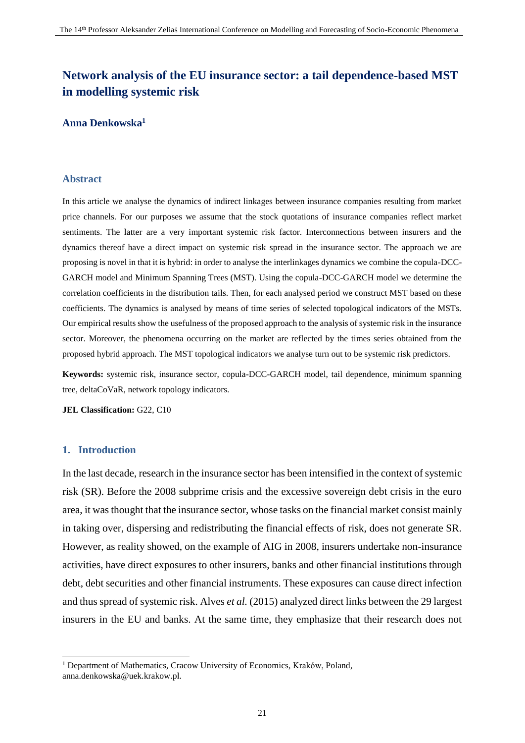# **Network analysis of the EU insurance sector: a tail dependence-based MST in modelling systemic risk**

## **Anna Denkowska<sup>1</sup>**

### **Abstract**

In this article we analyse the dynamics of indirect linkages between insurance companies resulting from market price channels. For our purposes we assume that the stock quotations of insurance companies reflect market sentiments. The latter are a very important systemic risk factor. Interconnections between insurers and the dynamics thereof have a direct impact on systemic risk spread in the insurance sector. The approach we are proposing is novel in that it is hybrid: in order to analyse the interlinkages dynamics we combine the copula-DCC-GARCH model and Minimum Spanning Trees (MST). Using the copula-DCC-GARCH model we determine the correlation coefficients in the distribution tails. Then, for each analysed period we construct MST based on these coefficients. The dynamics is analysed by means of time series of selected topological indicators of the MSTs. Our empirical results show the usefulness of the proposed approach to the analysis of systemic risk in the insurance sector. Moreover, the phenomena occurring on the market are reflected by the times series obtained from the proposed hybrid approach. The MST topological indicators we analyse turn out to be systemic risk predictors.

**Keywords:** systemic risk, insurance sector, copula-DCC-GARCH model, tail dependence, minimum spanning tree, deltaCoVaR, network topology indicators.

**JEL Classification:** G22, C10

## **1. Introduction**

 $\overline{a}$ 

In the last decade, research in the insurance sector has been intensified in the context of systemic risk (SR). Before the 2008 subprime crisis and the excessive sovereign debt crisis in the euro area, it was thought that the insurance sector, whose tasks on the financial market consist mainly in taking over, dispersing and redistributing the financial effects of risk, does not generate SR. However, as reality showed, on the example of AIG in 2008, insurers undertake non-insurance activities, have direct exposures to other insurers, banks and other financial institutions through debt, debt securities and other financial instruments. These exposures can cause direct infection and thus spread of systemic risk. Alves *et al.* (2015) analyzed direct links between the 29 largest insurers in the EU and banks. At the same time, they emphasize that their research does not

<sup>&</sup>lt;sup>1</sup> Department of Mathematics, Cracow University of Economics, Kraków, Poland, anna.denkowska@uek.krakow.pl.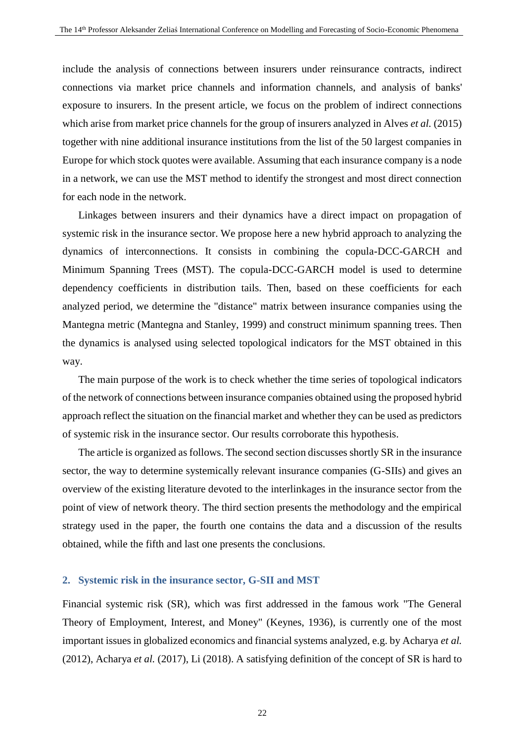include the analysis of connections between insurers under reinsurance contracts, indirect connections via market price channels and information channels, and analysis of banks' exposure to insurers. In the present article, we focus on the problem of indirect connections which arise from market price channels for the group of insurers analyzed in Alves *et al.* (2015) together with nine additional insurance institutions from the list of the 50 largest companies in Europe for which stock quotes were available. Assuming that each insurance company is a node in a network, we can use the MST method to identify the strongest and most direct connection for each node in the network.

Linkages between insurers and their dynamics have a direct impact on propagation of systemic risk in the insurance sector. We propose here a new hybrid approach to analyzing the dynamics of interconnections. It consists in combining the copula-DCC-GARCH and Minimum Spanning Trees (MST). The copula-DCC-GARCH model is used to determine dependency coefficients in distribution tails. Then, based on these coefficients for each analyzed period, we determine the "distance" matrix between insurance companies using the Mantegna metric (Mantegna and Stanley, 1999) and construct minimum spanning trees. Then the dynamics is analysed using selected topological indicators for the MST obtained in this way.

The main purpose of the work is to check whether the time series of topological indicators of the network of connections between insurance companies obtained using the proposed hybrid approach reflect the situation on the financial market and whether they can be used as predictors of systemic risk in the insurance sector. Our results corroborate this hypothesis.

The article is organized as follows. The second section discusses shortly SR in the insurance sector, the way to determine systemically relevant insurance companies (G-SIIs) and gives an overview of the existing literature devoted to the interlinkages in the insurance sector from the point of view of network theory. The third section presents the methodology and the empirical strategy used in the paper, the fourth one contains the data and a discussion of the results obtained, while the fifth and last one presents the conclusions.

#### **2. Systemic risk in the insurance sector, G-SII and MST**

Financial systemic risk (SR), which was first addressed in the famous work "The General Theory of Employment, Interest, and Money" (Keynes, 1936), is currently one of the most important issues in globalized economics and financial systems analyzed, e.g. by Acharya *et al.* (2012), Acharya *et al.* (2017), Li (2018). A satisfying definition of the concept of SR is hard to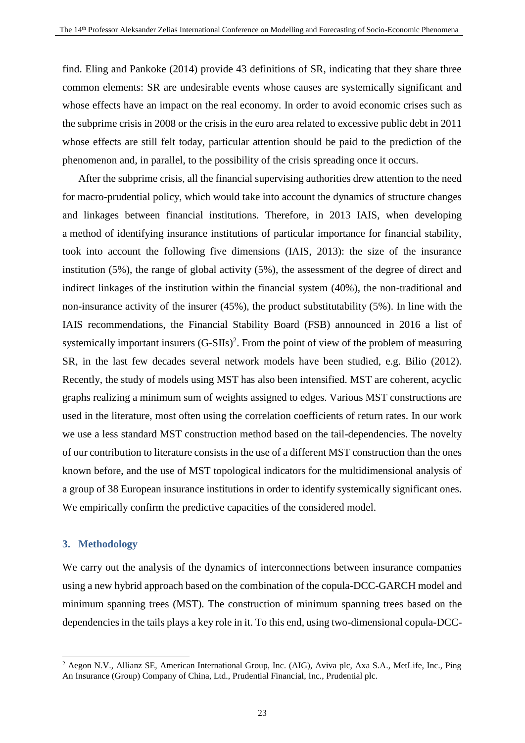find. Eling and Pankoke (2014) provide 43 definitions of SR, indicating that they share three common elements: SR are undesirable events whose causes are systemically significant and whose effects have an impact on the real economy. In order to avoid economic crises such as the subprime crisis in 2008 or the crisis in the euro area related to excessive public debt in 2011 whose effects are still felt today, particular attention should be paid to the prediction of the phenomenon and, in parallel, to the possibility of the crisis spreading once it occurs.

After the subprime crisis, all the financial supervising authorities drew attention to the need for macro-prudential policy, which would take into account the dynamics of structure changes and linkages between financial institutions. Therefore, in 2013 IAIS, when developing a method of identifying insurance institutions of particular importance for financial stability, took into account the following five dimensions (IAIS, 2013): the size of the insurance institution (5%), the range of global activity (5%), the assessment of the degree of direct and indirect linkages of the institution within the financial system (40%), the non-traditional and non-insurance activity of the insurer (45%), the product substitutability (5%). In line with the IAIS recommendations, the Financial Stability Board (FSB) announced in 2016 a list of systemically important insurers  $(G-SIIs)^2$ . From the point of view of the problem of measuring SR, in the last few decades several network models have been studied, e.g. Bilio (2012). Recently, the study of models using MST has also been intensified. MST are coherent, acyclic graphs realizing a minimum sum of weights assigned to edges. Various MST constructions are used in the literature, most often using the correlation coefficients of return rates. In our work we use a less standard MST construction method based on the tail-dependencies. The novelty of our contribution to literature consists in the use of a different MST construction than the ones known before, and the use of MST topological indicators for the multidimensional analysis of a group of 38 European insurance institutions in order to identify systemically significant ones. We empirically confirm the predictive capacities of the considered model.

#### **3. Methodology**

 $\overline{a}$ 

We carry out the analysis of the dynamics of interconnections between insurance companies using a new hybrid approach based on the combination of the copula-DCC-GARCH model and minimum spanning trees (MST). The construction of minimum spanning trees based on the dependencies in the tails plays a key role in it. To this end, using two-dimensional copula-DCC-

<sup>2</sup> Aegon N.V., Allianz SE, American International Group, Inc. (AIG), Aviva plc, Axa S.A., MetLife, Inc., Ping An Insurance (Group) Company of China, Ltd., Prudential Financial, Inc., Prudential plc.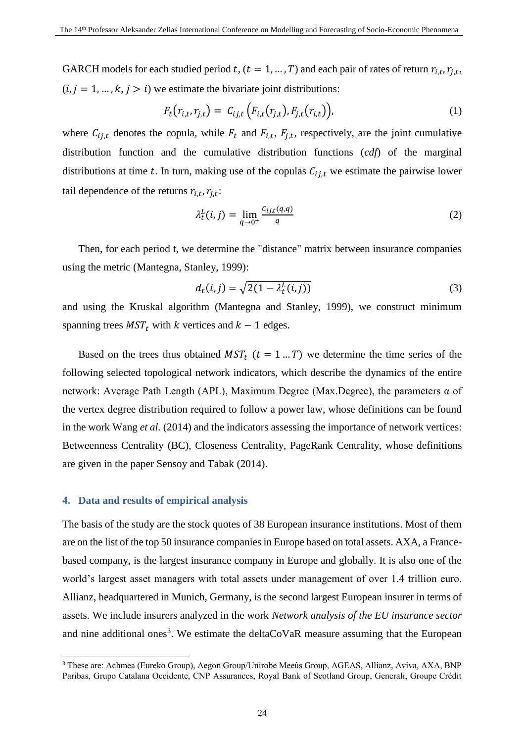GARCH models for each studied period t,  $(t = 1, ..., T)$  and each pair of rates of return  $r_{i,t}$ ,  $r_{j,t}$ ,  $(i, j = 1, ..., k, j > i)$  we estimate the bivariate joint distributions:

$$
F_t(r_{i,t}, r_{j,t}) = C_{i,j,t} (F_{i,t}(r_{j,t}), F_{j,t}(r_{i,t})),
$$
\n(1)

where  $C_{ij,t}$  denotes the copula, while  $F_t$  and  $F_{i,t}$ ,  $F_{j,t}$ , respectively, are the joint cumulative distribution function and the cumulative distribution functions (*cdf*) of the marginal distributions at time t. In turn, making use of the copulas  $C_{i,i,t}$  we estimate the pairwise lower tail dependence of the returns  $r_{i,t}$ ,  $r_{j,t}$ :

$$
\lambda_t^L(i,j) = \lim_{q \to 0^+} \frac{c_{ij,t}(q,q)}{q} \tag{2}
$$

Then, for each period t, we determine the "distance" matrix between insurance companies using the metric (Mantegna, Stanley, 1999):

$$
d_t(i,j) = \sqrt{2(1 - \lambda_t^L(i,j))}
$$
\n(3)

and using the Kruskal algorithm (Mantegna and Stanley, 1999), we construct minimum spanning trees  $MST_t$  with k vertices and  $k - 1$  edges.

Based on the trees thus obtained  $MST_t$  ( $t = 1...T$ ) we determine the time series of the following selected topological network indicators, which describe the dynamics of the entire network: Average Path Length (APL), Maximum Degree (Max.Degree), the parameters α of the vertex degree distribution required to follow a power law, whose definitions can be found in the work Wang *et al.* (2014) and the indicators assessing the importance of network vertices: Betweenness Centrality (BC), Closeness Centrality, PageRank Centrality, whose definitions are given in the paper Sensoy and Tabak (2014).

## **4. Data and results of empirical analysis**

 $\overline{a}$ 

The basis of the study are the stock quotes of 38 European insurance institutions. Most of them are on the list of the top 50 insurance companies in Europe based on total assets. AXA, a Francebased company, is the largest insurance company in Europe and globally. It is also one of the world's largest asset managers with total assets under management of over 1.4 trillion euro. Allianz, headquartered in Munich, Germany, is the second largest European insurer in terms of assets. We include insurers analyzed in the work *Network analysis of the EU insurance sector* and nine additional ones<sup>3</sup>. We estimate the deltaCoVaR measure assuming that the European

<sup>3</sup> These are: Achmea (Eureko Group), Aegon Group/Unirobe Meeùs Group, AGEAS, Allianz, Aviva, AXA, BNP Paribas, Grupo Catalana Occidente, CNP Assurances, Royal Bank of Scotland Group, Generali, Groupe Crédit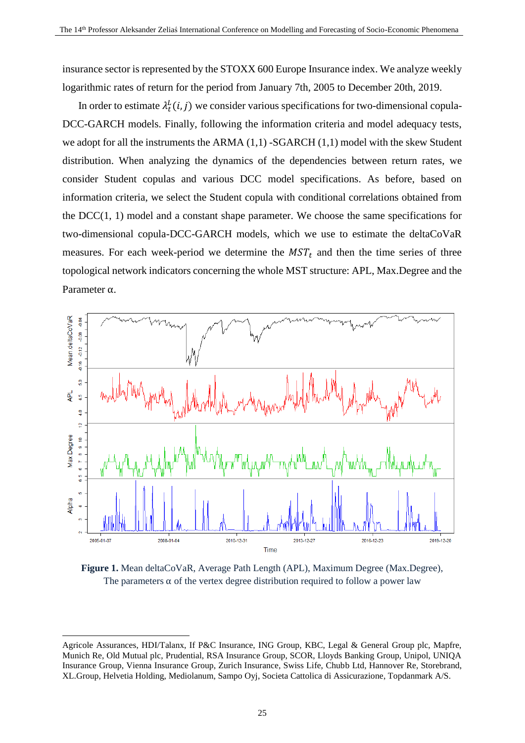insurance sector is represented by the STOXX 600 Europe Insurance index. We analyze weekly logarithmic rates of return for the period from January 7th, 2005 to December 20th, 2019.

In order to estimate  $\lambda_t^L(i, j)$  we consider various specifications for two-dimensional copula-DCC-GARCH models. Finally, following the information criteria and model adequacy tests, we adopt for all the instruments the ARMA (1,1) -SGARCH (1,1) model with the skew Student distribution. When analyzing the dynamics of the dependencies between return rates, we consider Student copulas and various DCC model specifications. As before, based on information criteria, we select the Student copula with conditional correlations obtained from the  $DCC(1, 1)$  model and a constant shape parameter. We choose the same specifications for two-dimensional copula-DCC-GARCH models, which we use to estimate the deltaCoVaR measures. For each week-period we determine the  $MST_t$  and then the time series of three topological network indicators concerning the whole MST structure: APL, Max.Degree and the Parameter α.



**Figure 1.** Mean deltaCoVaR, Average Path Length (APL), Maximum Degree (Max.Degree), The parameters  $\alpha$  of the vertex degree distribution required to follow a power law

 $\overline{a}$ 

Agricole Assurances, HDI/Talanx, If P&C Insurance, ING Group, KBC, Legal & General Group plc, Mapfre, Munich Re, Old Mutual plc, Prudential, RSA Insurance Group, SCOR, Lloyds Banking Group, Unipol, UNIQA Insurance Group, Vienna Insurance Group, Zurich Insurance, Swiss Life, Chubb Ltd, Hannover Re, Storebrand, XL.Group, Helvetia Holding, Mediolanum, Sampo Oyj, Societa Cattolica di Assicurazione, Topdanmark A/S.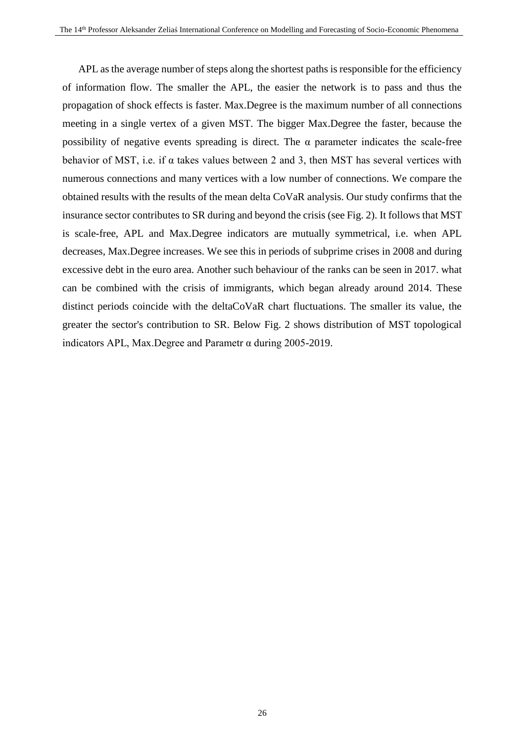APL as the average number of steps along the shortest paths is responsible for the efficiency of information flow. The smaller the APL, the easier the network is to pass and thus the propagation of shock effects is faster. Max.Degree is the maximum number of all connections meeting in a single vertex of a given MST. The bigger Max.Degree the faster, because the possibility of negative events spreading is direct. The  $\alpha$  parameter indicates the scale-free behavior of MST, i.e. if  $\alpha$  takes values between 2 and 3, then MST has several vertices with numerous connections and many vertices with a low number of connections. We compare the obtained results with the results of the mean delta CoVaR analysis. Our study confirms that the insurance sector contributes to SR during and beyond the crisis (see Fig. 2). It follows that MST is scale-free, APL and Max.Degree indicators are mutually symmetrical, i.e. when APL decreases, Max.Degree increases. We see this in periods of subprime crises in 2008 and during excessive debt in the euro area. Another such behaviour of the ranks can be seen in 2017. what can be combined with the crisis of immigrants, which began already around 2014. These distinct periods coincide with the deltaCoVaR chart fluctuations. The smaller its value, the greater the sector's contribution to SR. Below Fig. 2 shows distribution of MST topological indicators APL, Max.Degree and Parametr  $\alpha$  during 2005-2019.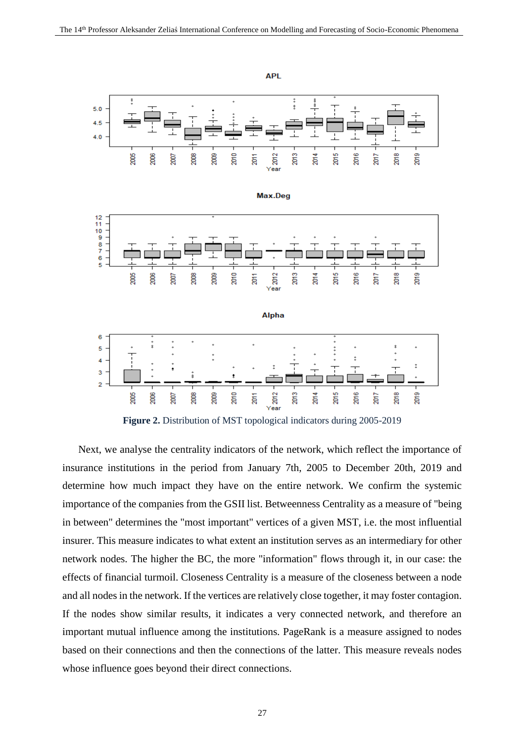

**Figure 2.** Distribution of MST topological indicators during 2005-2019

Next, we analyse the centrality indicators of the network, which reflect the importance of insurance institutions in the period from January 7th, 2005 to December 20th, 2019 and determine how much impact they have on the entire network. We confirm the systemic importance of the companies from the GSII list. Betweenness Centrality as a measure of "being in between" determines the "most important" vertices of a given MST, i.e. the most influential insurer. This measure indicates to what extent an institution serves as an intermediary for other network nodes. The higher the BC, the more "information" flows through it, in our case: the effects of financial turmoil. Closeness Centrality is a measure of the closeness between a node and all nodes in the network. If the vertices are relatively close together, it may foster contagion. If the nodes show similar results, it indicates a very connected network, and therefore an important mutual influence among the institutions. PageRank is a measure assigned to nodes based on their connections and then the connections of the latter. This measure reveals nodes whose influence goes beyond their direct connections.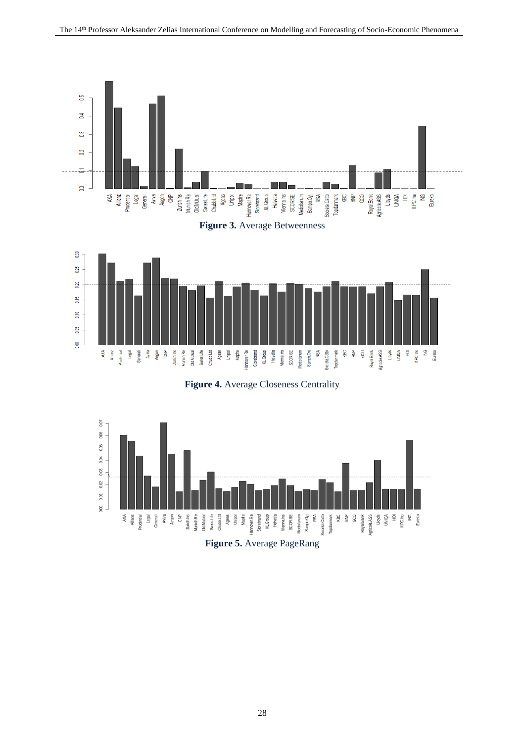





**Figure 4.** Average Closeness Centrality

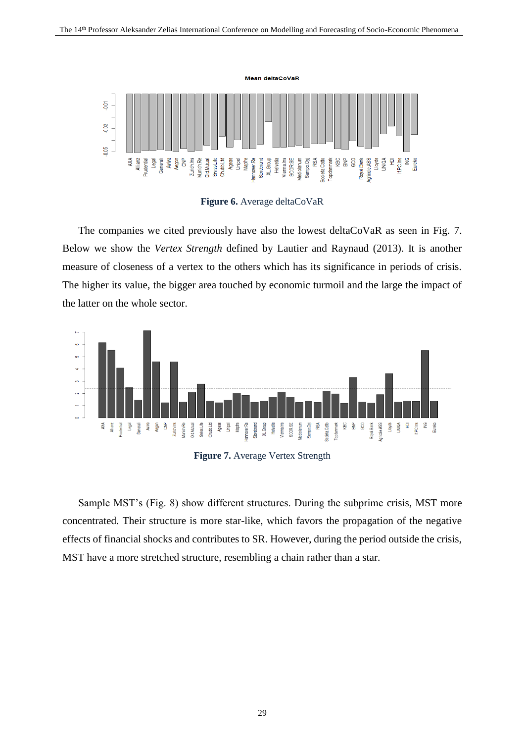

**Figure 6.** Average deltaCoVaR

The companies we cited previously have also the lowest deltaCoVaR as seen in Fig. 7. Below we show the *Vertex Strength* defined by Lautier and Raynaud (2013). It is another measure of closeness of a vertex to the others which has its significance in periods of crisis. The higher its value, the bigger area touched by economic turmoil and the large the impact of the latter on the whole sector.



**Figure 7.** Average Vertex Strength

Sample MST's (Fig. 8) show different structures. During the subprime crisis, MST more concentrated. Their structure is more star-like, which favors the propagation of the negative effects of financial shocks and contributes to SR. However, during the period outside the crisis, MST have a more stretched structure, resembling a chain rather than a star.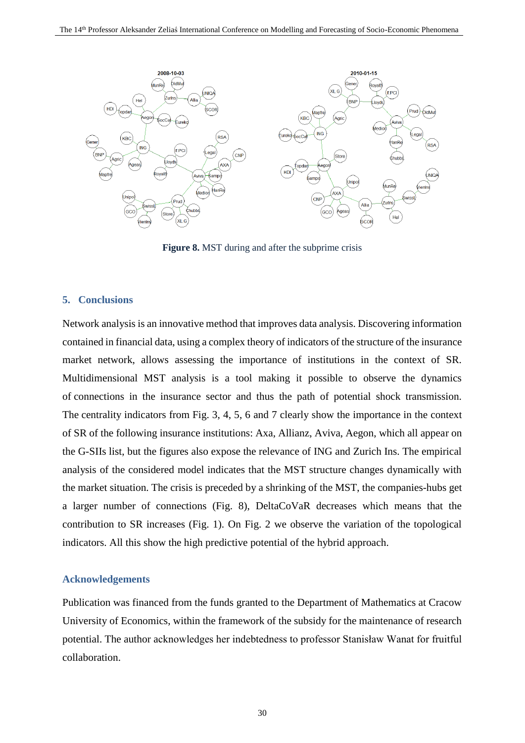

**Figure 8.** MST during and after the subprime crisis

## **5. Conclusions**

Network analysis is an innovative method that improves data analysis. Discovering information contained in financial data, using a complex theory of indicators of the structure of the insurance market network, allows assessing the importance of institutions in the context of SR. Multidimensional MST analysis is a tool making it possible to observe the dynamics of connections in the insurance sector and thus the path of potential shock transmission. The centrality indicators from Fig. 3, 4, 5, 6 and 7 clearly show the importance in the context of SR of the following insurance institutions: Axa, Allianz, Aviva, Aegon, which all appear on the G-SIIs list, but the figures also expose the relevance of ING and Zurich Ins. The empirical analysis of the considered model indicates that the MST structure changes dynamically with the market situation. The crisis is preceded by a shrinking of the MST, the companies-hubs get a larger number of connections (Fig. 8), DeltaCoVaR decreases which means that the contribution to SR increases (Fig. 1). On Fig. 2 we observe the variation of the topological indicators. All this show the high predictive potential of the hybrid approach.

#### **Acknowledgements**

Publication was financed from the funds granted to the Department of Mathematics at Cracow University of Economics, within the framework of the subsidy for the maintenance of research potential. The author acknowledges her indebtedness to professor Stanisław Wanat for fruitful collaboration.